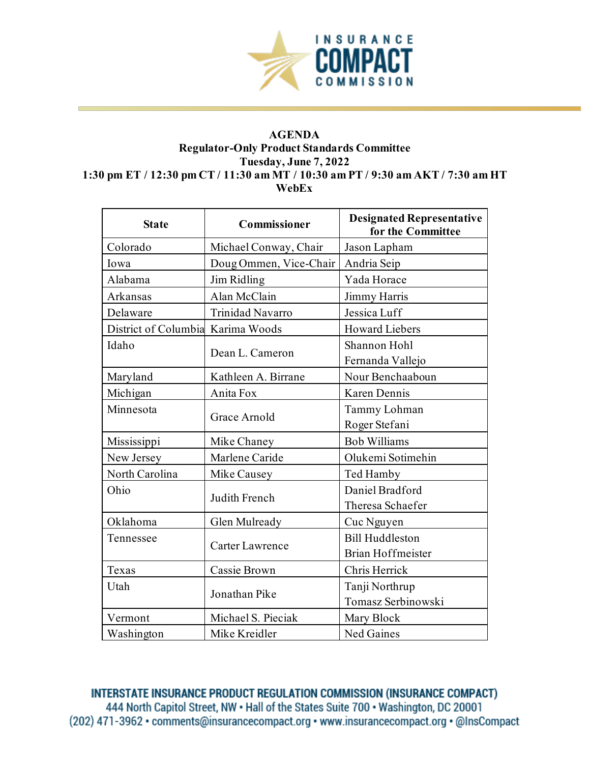

## **AGENDA Regulator-Only Product Standards Committee Tuesday, June 7, 2022 1:30 pm ET / 12:30 pm CT / 11:30 am MT / 10:30 am PT / 9:30 am AKT / 7:30 am HT WebEx**

| <b>State</b>         | <b>Commissioner</b>    | <b>Designated Representative</b><br>for the Committee |
|----------------------|------------------------|-------------------------------------------------------|
| Colorado             | Michael Conway, Chair  | Jason Lapham                                          |
| Iowa                 | Doug Ommen, Vice-Chair | Andria Seip                                           |
| Alabama              | Jim Ridling            | Yada Horace                                           |
| Arkansas             | Alan McClain           | Jimmy Harris                                          |
| Delaware             | Trinidad Navarro       | Jessica Luff                                          |
| District of Columbia | Karima Woods           | <b>Howard Liebers</b>                                 |
| Idaho                | Dean L. Cameron        | Shannon Hohl                                          |
|                      |                        | Fernanda Vallejo                                      |
| Maryland             | Kathleen A. Birrane    | Nour Benchaaboun                                      |
| Michigan             | Anita Fox              | Karen Dennis                                          |
| Minnesota            | Grace Arnold           | Tammy Lohman                                          |
|                      |                        | Roger Stefani                                         |
| Mississippi          | Mike Chaney            | <b>Bob Williams</b>                                   |
| New Jersey           | Marlene Caride         | Olukemi Sotimehin                                     |
| North Carolina       | Mike Causey            | Ted Hamby                                             |
| Ohio                 | Judith French          | Daniel Bradford                                       |
|                      |                        | Theresa Schaefer                                      |
| Oklahoma             | Glen Mulready          | Cuc Nguyen                                            |
| Tennessee            | Carter Lawrence        | <b>Bill Huddleston</b>                                |
|                      |                        | <b>Brian Hoffmeister</b>                              |
| Texas                | Cassie Brown           | Chris Herrick                                         |
| Utah                 | Jonathan Pike          | Tanji Northrup                                        |
|                      |                        | Tomasz Serbinowski                                    |
| Vermont              | Michael S. Pieciak     | Mary Block                                            |
| Washington           | Mike Kreidler          | Ned Gaines                                            |